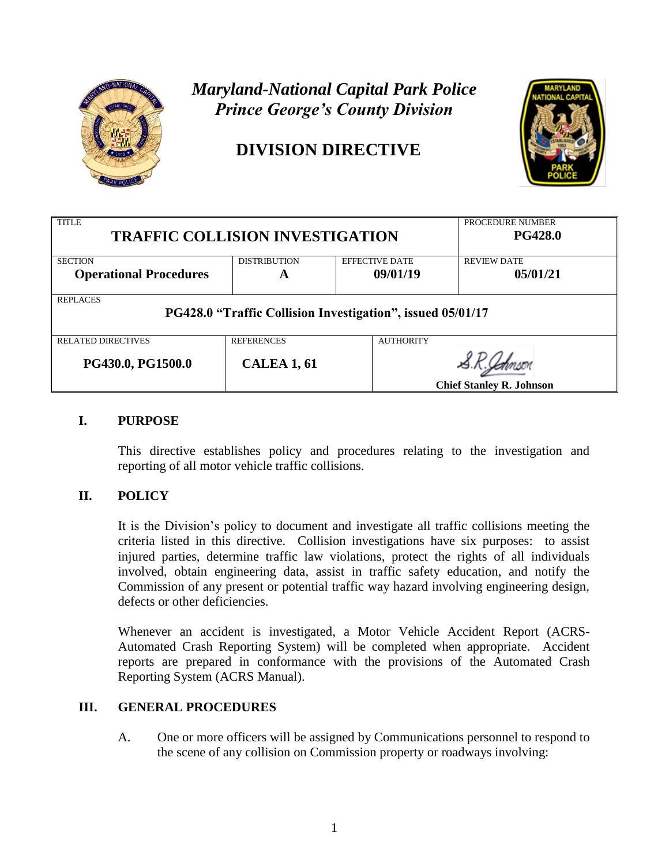

# *Maryland-National Capital Park Police Prince George's County Division*

# **DIVISION DIRECTIVE**



| <b>TITLE</b><br><b>TRAFFIC COLLISION INVESTIGATION</b>                        |                     |                       | PROCEDURE NUMBER<br><b>PG428.0</b> |  |
|-------------------------------------------------------------------------------|---------------------|-----------------------|------------------------------------|--|
| <b>SECTION</b>                                                                | <b>DISTRIBUTION</b> | <b>EFFECTIVE DATE</b> | <b>REVIEW DATE</b>                 |  |
| <b>Operational Procedures</b>                                                 | A                   | 09/01/19              | 05/01/21                           |  |
| <b>REPLACES</b><br>PG428.0 "Traffic Collision Investigation", issued 05/01/17 |                     |                       |                                    |  |
| <b>RELATED DIRECTIVES</b>                                                     | <b>REFERENCES</b>   | <b>AUTHORITY</b>      |                                    |  |
| PG430.0, PG1500.0                                                             | <b>CALEA 1, 61</b>  |                       | <b>Chief Stanley R. Johnson</b>    |  |

## **I. PURPOSE**

This directive establishes policy and procedures relating to the investigation and reporting of all motor vehicle traffic collisions.

## **II. POLICY**

It is the Division's policy to document and investigate all traffic collisions meeting the criteria listed in this directive. Collision investigations have six purposes: to assist injured parties, determine traffic law violations, protect the rights of all individuals involved, obtain engineering data, assist in traffic safety education, and notify the Commission of any present or potential traffic way hazard involving engineering design, defects or other deficiencies.

Whenever an accident is investigated, a Motor Vehicle Accident Report (ACRS-Automated Crash Reporting System) will be completed when appropriate. Accident reports are prepared in conformance with the provisions of the Automated Crash Reporting System (ACRS Manual).

## **III. GENERAL PROCEDURES**

A. One or more officers will be assigned by Communications personnel to respond to the scene of any collision on Commission property or roadways involving: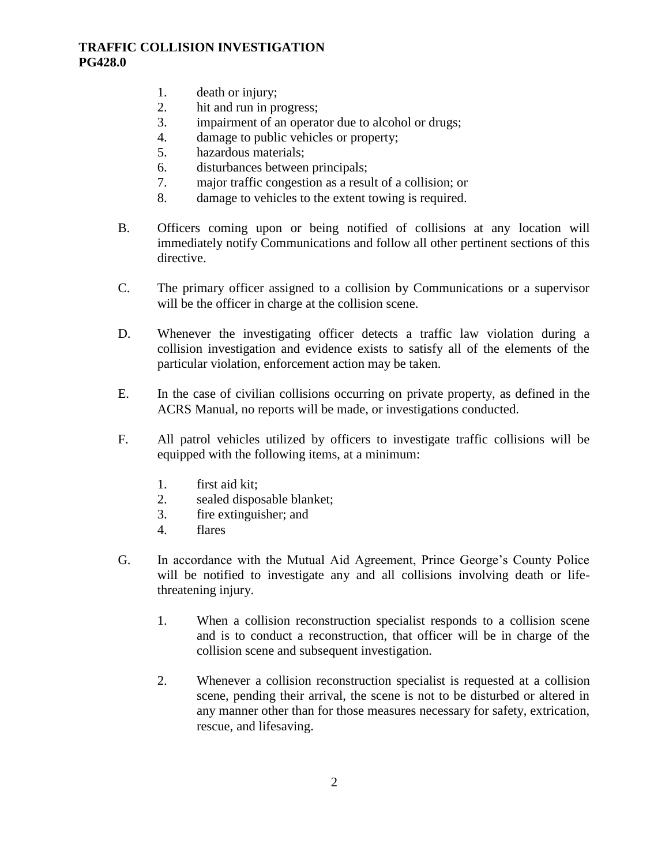- 1. death or injury;
- 2. hit and run in progress;
- 3. impairment of an operator due to alcohol or drugs;
- 4. damage to public vehicles or property;
- 5. hazardous materials;
- 6. disturbances between principals;
- 7. major traffic congestion as a result of a collision; or
- 8. damage to vehicles to the extent towing is required.
- B. Officers coming upon or being notified of collisions at any location will immediately notify Communications and follow all other pertinent sections of this directive.
- C. The primary officer assigned to a collision by Communications or a supervisor will be the officer in charge at the collision scene.
- D. Whenever the investigating officer detects a traffic law violation during a collision investigation and evidence exists to satisfy all of the elements of the particular violation, enforcement action may be taken.
- E. In the case of civilian collisions occurring on private property, as defined in the ACRS Manual, no reports will be made, or investigations conducted.
- F. All patrol vehicles utilized by officers to investigate traffic collisions will be equipped with the following items, at a minimum:
	- 1. first aid kit;
	- 2. sealed disposable blanket;
	- 3. fire extinguisher; and
	- 4. flares
- G. In accordance with the Mutual Aid Agreement, Prince George's County Police will be notified to investigate any and all collisions involving death or lifethreatening injury.
	- 1. When a collision reconstruction specialist responds to a collision scene and is to conduct a reconstruction, that officer will be in charge of the collision scene and subsequent investigation.
	- 2. Whenever a collision reconstruction specialist is requested at a collision scene, pending their arrival, the scene is not to be disturbed or altered in any manner other than for those measures necessary for safety, extrication, rescue, and lifesaving.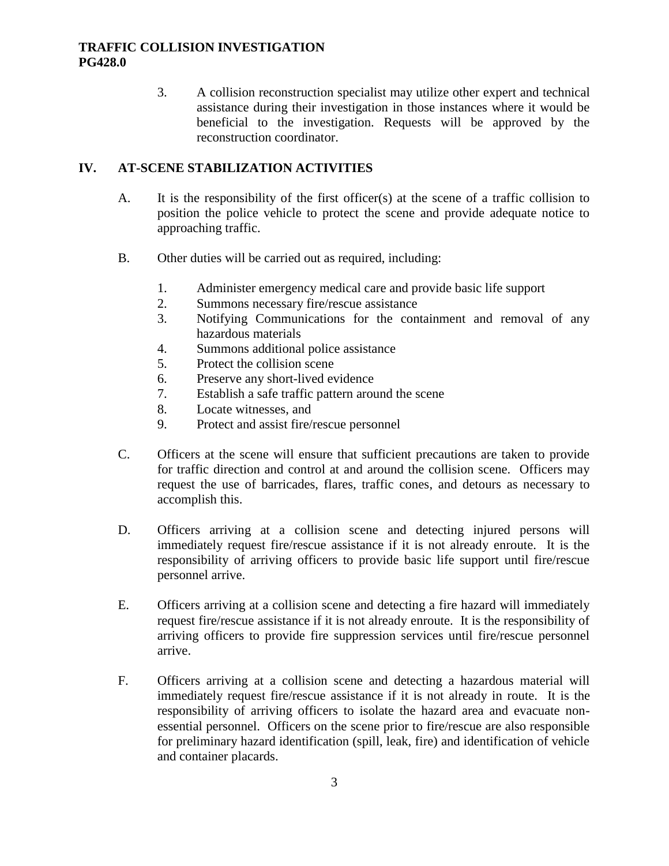3. A collision reconstruction specialist may utilize other expert and technical assistance during their investigation in those instances where it would be beneficial to the investigation. Requests will be approved by the reconstruction coordinator.

## **IV. AT-SCENE STABILIZATION ACTIVITIES**

- A. It is the responsibility of the first officer(s) at the scene of a traffic collision to position the police vehicle to protect the scene and provide adequate notice to approaching traffic.
- B. Other duties will be carried out as required, including:
	- 1. Administer emergency medical care and provide basic life support
	- 2. Summons necessary fire/rescue assistance
	- 3. Notifying Communications for the containment and removal of any hazardous materials
	- 4. Summons additional police assistance
	- 5. Protect the collision scene
	- 6. Preserve any short-lived evidence
	- 7. Establish a safe traffic pattern around the scene
	- 8. Locate witnesses, and
	- 9. Protect and assist fire/rescue personnel
- C. Officers at the scene will ensure that sufficient precautions are taken to provide for traffic direction and control at and around the collision scene. Officers may request the use of barricades, flares, traffic cones, and detours as necessary to accomplish this.
- D. Officers arriving at a collision scene and detecting injured persons will immediately request fire/rescue assistance if it is not already enroute. It is the responsibility of arriving officers to provide basic life support until fire/rescue personnel arrive.
- E. Officers arriving at a collision scene and detecting a fire hazard will immediately request fire/rescue assistance if it is not already enroute. It is the responsibility of arriving officers to provide fire suppression services until fire/rescue personnel arrive.
- F. Officers arriving at a collision scene and detecting a hazardous material will immediately request fire/rescue assistance if it is not already in route. It is the responsibility of arriving officers to isolate the hazard area and evacuate nonessential personnel. Officers on the scene prior to fire/rescue are also responsible for preliminary hazard identification (spill, leak, fire) and identification of vehicle and container placards.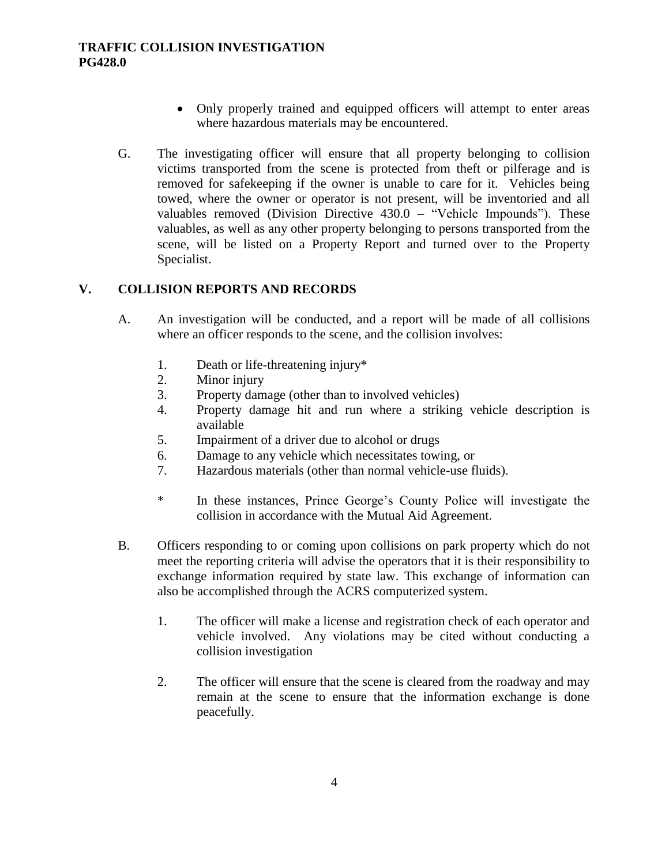- Only properly trained and equipped officers will attempt to enter areas where hazardous materials may be encountered.
- G. The investigating officer will ensure that all property belonging to collision victims transported from the scene is protected from theft or pilferage and is removed for safekeeping if the owner is unable to care for it. Vehicles being towed, where the owner or operator is not present, will be inventoried and all valuables removed (Division Directive  $430.0$  – "Vehicle Impounds"). These valuables, as well as any other property belonging to persons transported from the scene, will be listed on a Property Report and turned over to the Property Specialist.

## **V. COLLISION REPORTS AND RECORDS**

- A. An investigation will be conducted, and a report will be made of all collisions where an officer responds to the scene, and the collision involves:
	- 1. Death or life-threatening injury\*
	- 2. Minor injury
	- 3. Property damage (other than to involved vehicles)
	- 4. Property damage hit and run where a striking vehicle description is available
	- 5. Impairment of a driver due to alcohol or drugs
	- 6. Damage to any vehicle which necessitates towing, or
	- 7. Hazardous materials (other than normal vehicle-use fluids).
	- \* In these instances, Prince George's County Police will investigate the collision in accordance with the Mutual Aid Agreement.
- B. Officers responding to or coming upon collisions on park property which do not meet the reporting criteria will advise the operators that it is their responsibility to exchange information required by state law. This exchange of information can also be accomplished through the ACRS computerized system.
	- 1. The officer will make a license and registration check of each operator and vehicle involved. Any violations may be cited without conducting a collision investigation
	- 2. The officer will ensure that the scene is cleared from the roadway and may remain at the scene to ensure that the information exchange is done peacefully.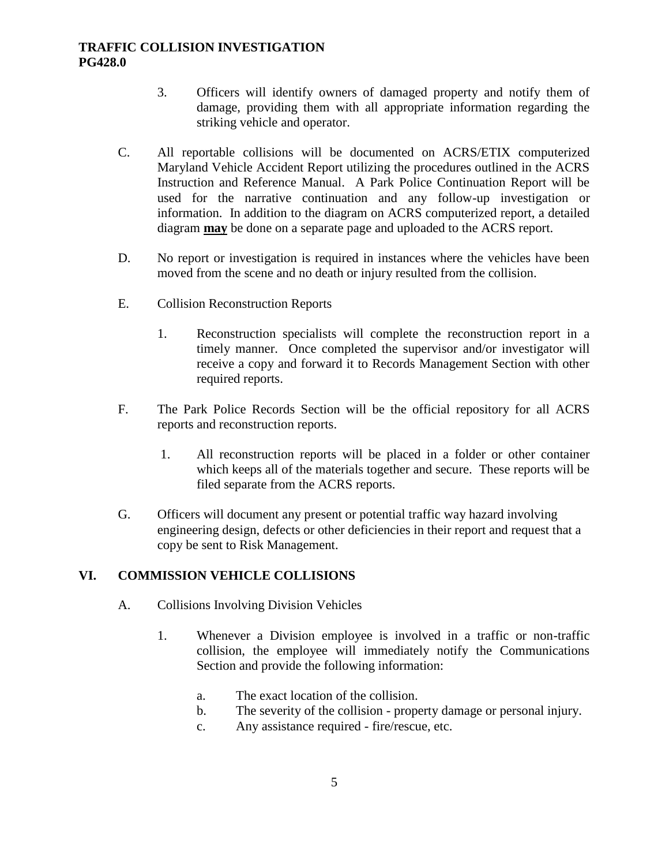- 3. Officers will identify owners of damaged property and notify them of damage, providing them with all appropriate information regarding the striking vehicle and operator.
- C. All reportable collisions will be documented on ACRS/ETIX computerized Maryland Vehicle Accident Report utilizing the procedures outlined in the ACRS Instruction and Reference Manual. A Park Police Continuation Report will be used for the narrative continuation and any follow-up investigation or information. In addition to the diagram on ACRS computerized report, a detailed diagram **may** be done on a separate page and uploaded to the ACRS report.
- D. No report or investigation is required in instances where the vehicles have been moved from the scene and no death or injury resulted from the collision.
- E. Collision Reconstruction Reports
	- 1. Reconstruction specialists will complete the reconstruction report in a timely manner. Once completed the supervisor and/or investigator will receive a copy and forward it to Records Management Section with other required reports.
- F. The Park Police Records Section will be the official repository for all ACRS reports and reconstruction reports.
	- 1. All reconstruction reports will be placed in a folder or other container which keeps all of the materials together and secure. These reports will be filed separate from the ACRS reports.
- G. Officers will document any present or potential traffic way hazard involving engineering design, defects or other deficiencies in their report and request that a copy be sent to Risk Management.

#### **VI. COMMISSION VEHICLE COLLISIONS**

- A. Collisions Involving Division Vehicles
	- 1. Whenever a Division employee is involved in a traffic or non-traffic collision, the employee will immediately notify the Communications Section and provide the following information:
		- a. The exact location of the collision.
		- b. The severity of the collision property damage or personal injury.
		- c. Any assistance required fire/rescue, etc.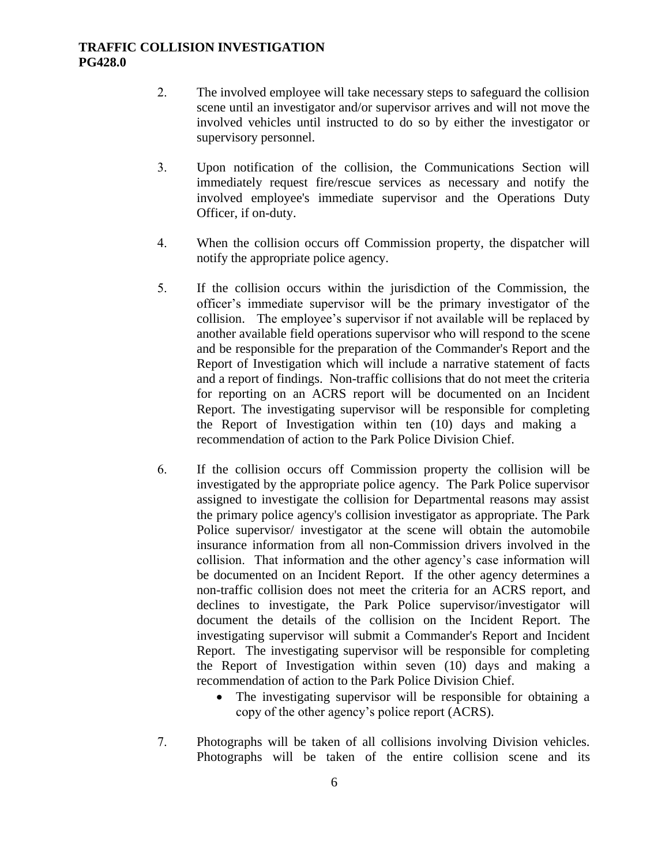- 2. The involved employee will take necessary steps to safeguard the collision scene until an investigator and/or supervisor arrives and will not move the involved vehicles until instructed to do so by either the investigator or supervisory personnel.
- 3. Upon notification of the collision, the Communications Section will immediately request fire/rescue services as necessary and notify the involved employee's immediate supervisor and the Operations Duty Officer, if on-duty.
- 4. When the collision occurs off Commission property, the dispatcher will notify the appropriate police agency.
- 5. If the collision occurs within the jurisdiction of the Commission, the officer's immediate supervisor will be the primary investigator of the collision. The employee's supervisor if not available will be replaced by another available field operations supervisor who will respond to the scene and be responsible for the preparation of the Commander's Report and the Report of Investigation which will include a narrative statement of facts and a report of findings. Non-traffic collisions that do not meet the criteria for reporting on an ACRS report will be documented on an Incident Report. The investigating supervisor will be responsible for completing the Report of Investigation within ten (10) days and making a recommendation of action to the Park Police Division Chief.
- 6. If the collision occurs off Commission property the collision will be investigated by the appropriate police agency. The Park Police supervisor assigned to investigate the collision for Departmental reasons may assist the primary police agency's collision investigator as appropriate. The Park Police supervisor/ investigator at the scene will obtain the automobile insurance information from all non-Commission drivers involved in the collision. That information and the other agency's case information will be documented on an Incident Report. If the other agency determines a non-traffic collision does not meet the criteria for an ACRS report, and declines to investigate, the Park Police supervisor/investigator will document the details of the collision on the Incident Report. The investigating supervisor will submit a Commander's Report and Incident Report. The investigating supervisor will be responsible for completing the Report of Investigation within seven (10) days and making a recommendation of action to the Park Police Division Chief.
	- The investigating supervisor will be responsible for obtaining a copy of the other agency's police report (ACRS).
- 7. Photographs will be taken of all collisions involving Division vehicles. Photographs will be taken of the entire collision scene and its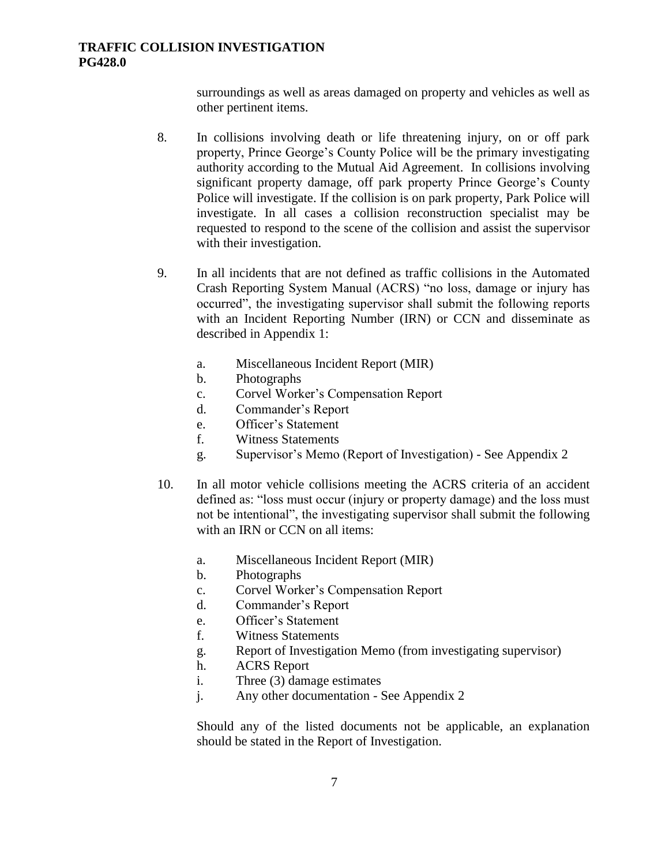surroundings as well as areas damaged on property and vehicles as well as other pertinent items.

- 8. In collisions involving death or life threatening injury, on or off park property, Prince George's County Police will be the primary investigating authority according to the Mutual Aid Agreement. In collisions involving significant property damage, off park property Prince George's County Police will investigate. If the collision is on park property, Park Police will investigate. In all cases a collision reconstruction specialist may be requested to respond to the scene of the collision and assist the supervisor with their investigation.
- 9. In all incidents that are not defined as traffic collisions in the Automated Crash Reporting System Manual (ACRS) "no loss, damage or injury has occurred", the investigating supervisor shall submit the following reports with an Incident Reporting Number (IRN) or CCN and disseminate as described in Appendix 1:
	- a. Miscellaneous Incident Report (MIR)
	- b. Photographs
	- c. Corvel Worker's Compensation Report
	- d. Commander's Report
	- e. Officer's Statement
	- f. Witness Statements
	- g. Supervisor's Memo (Report of Investigation) See Appendix 2
- 10. In all motor vehicle collisions meeting the ACRS criteria of an accident defined as: "loss must occur (injury or property damage) and the loss must not be intentional", the investigating supervisor shall submit the following with an IRN or CCN on all items:
	- a. Miscellaneous Incident Report (MIR)
	- b. Photographs
	- c. Corvel Worker's Compensation Report
	- d. Commander's Report
	- e. Officer's Statement
	- f. Witness Statements
	- g. Report of Investigation Memo (from investigating supervisor)
	- h. ACRS Report
	- i. Three (3) damage estimates
	- j. Any other documentation See Appendix 2

Should any of the listed documents not be applicable, an explanation should be stated in the Report of Investigation.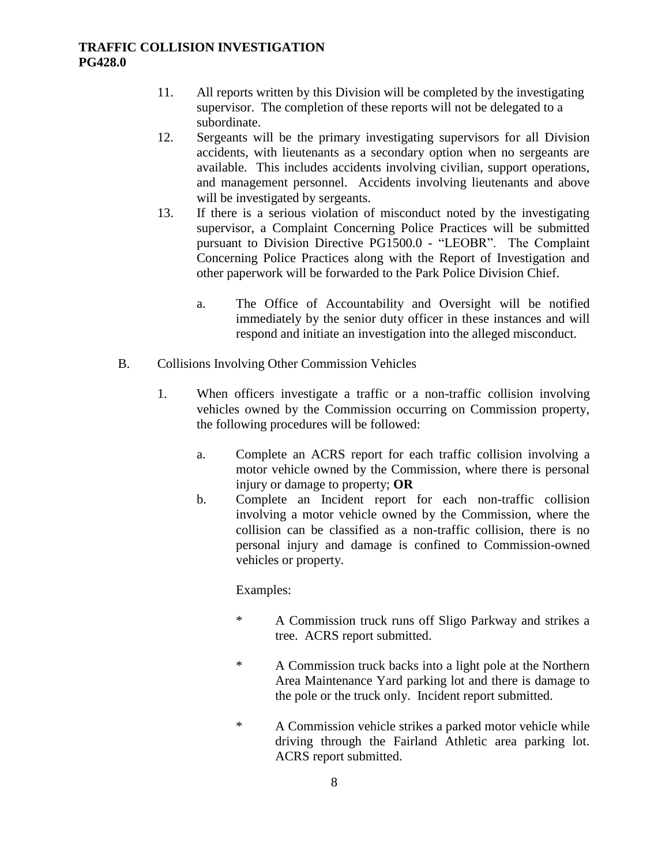- 11. All reports written by this Division will be completed by the investigating supervisor. The completion of these reports will not be delegated to a subordinate.
- 12. Sergeants will be the primary investigating supervisors for all Division accidents, with lieutenants as a secondary option when no sergeants are available. This includes accidents involving civilian, support operations, and management personnel. Accidents involving lieutenants and above will be investigated by sergeants.
- 13. If there is a serious violation of misconduct noted by the investigating supervisor, a Complaint Concerning Police Practices will be submitted pursuant to Division Directive PG1500.0 - "LEOBR". The Complaint Concerning Police Practices along with the Report of Investigation and other paperwork will be forwarded to the Park Police Division Chief.
	- a. The Office of Accountability and Oversight will be notified immediately by the senior duty officer in these instances and will respond and initiate an investigation into the alleged misconduct.
- B. Collisions Involving Other Commission Vehicles
	- 1. When officers investigate a traffic or a non-traffic collision involving vehicles owned by the Commission occurring on Commission property, the following procedures will be followed:
		- a. Complete an ACRS report for each traffic collision involving a motor vehicle owned by the Commission, where there is personal injury or damage to property; **OR**
		- b. Complete an Incident report for each non-traffic collision involving a motor vehicle owned by the Commission, where the collision can be classified as a non-traffic collision, there is no personal injury and damage is confined to Commission-owned vehicles or property.

#### Examples:

- \* A Commission truck runs off Sligo Parkway and strikes a tree. ACRS report submitted.
- \* A Commission truck backs into a light pole at the Northern Area Maintenance Yard parking lot and there is damage to the pole or the truck only. Incident report submitted.
- \* A Commission vehicle strikes a parked motor vehicle while driving through the Fairland Athletic area parking lot. ACRS report submitted.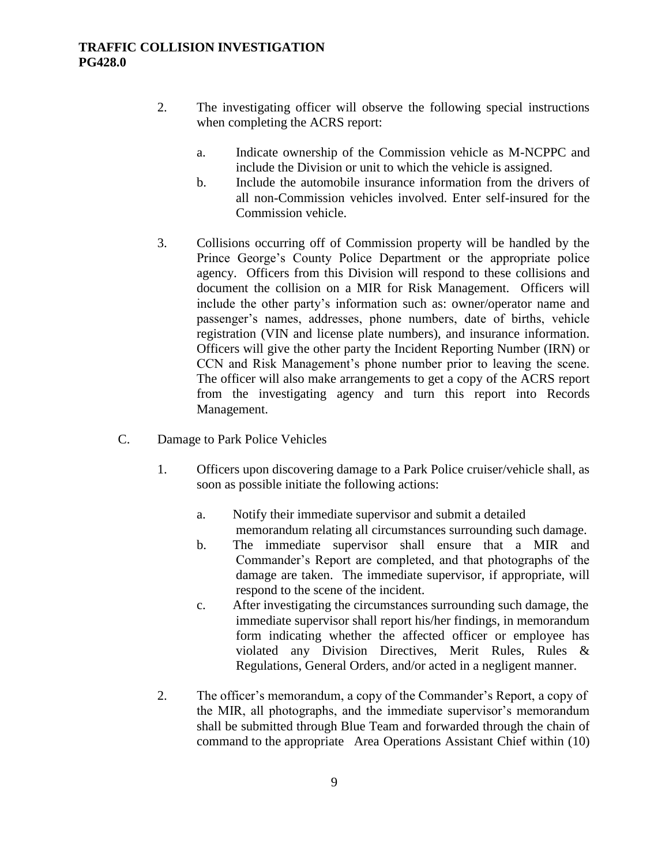- 2. The investigating officer will observe the following special instructions when completing the ACRS report:
	- a. Indicate ownership of the Commission vehicle as M-NCPPC and include the Division or unit to which the vehicle is assigned.
	- b. Include the automobile insurance information from the drivers of all non-Commission vehicles involved. Enter self-insured for the Commission vehicle.
- 3. Collisions occurring off of Commission property will be handled by the Prince George's County Police Department or the appropriate police agency. Officers from this Division will respond to these collisions and document the collision on a MIR for Risk Management. Officers will include the other party's information such as: owner/operator name and passenger's names, addresses, phone numbers, date of births, vehicle registration (VIN and license plate numbers), and insurance information. Officers will give the other party the Incident Reporting Number (IRN) or CCN and Risk Management's phone number prior to leaving the scene. The officer will also make arrangements to get a copy of the ACRS report from the investigating agency and turn this report into Records Management.
- C. Damage to Park Police Vehicles
	- 1. Officers upon discovering damage to a Park Police cruiser/vehicle shall, as soon as possible initiate the following actions:
		- a. Notify their immediate supervisor and submit a detailed memorandum relating all circumstances surrounding such damage.
		- b. The immediate supervisor shall ensure that a MIR and Commander's Report are completed, and that photographs of the damage are taken. The immediate supervisor, if appropriate, will respond to the scene of the incident.
		- c. After investigating the circumstances surrounding such damage, the immediate supervisor shall report his/her findings, in memorandum form indicating whether the affected officer or employee has violated any Division Directives, Merit Rules, Rules & Regulations, General Orders, and/or acted in a negligent manner.
	- 2. The officer's memorandum, a copy of the Commander's Report, a copy of the MIR, all photographs, and the immediate supervisor's memorandum shall be submitted through Blue Team and forwarded through the chain of command to the appropriate Area Operations Assistant Chief within (10)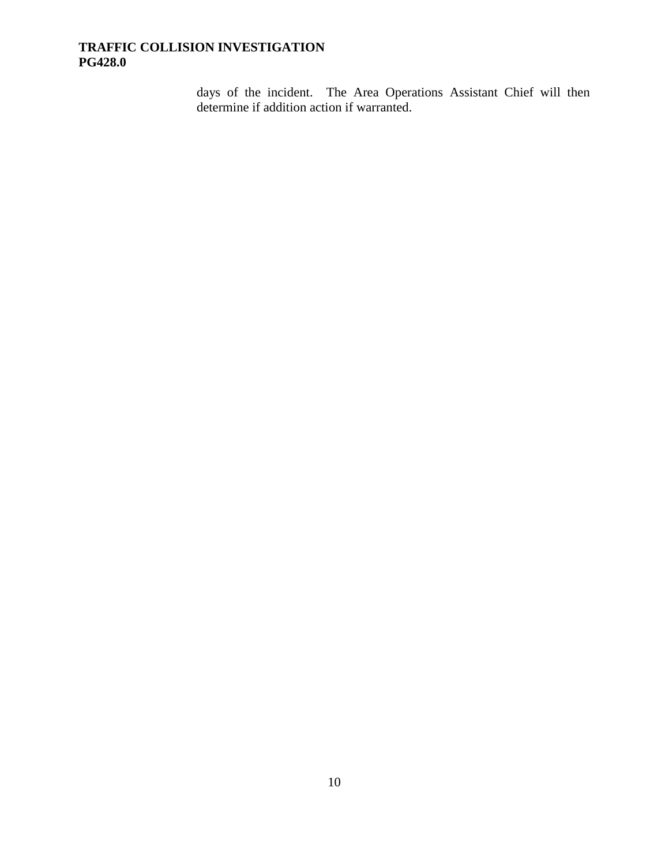days of the incident. The Area Operations Assistant Chief will then determine if addition action if warranted.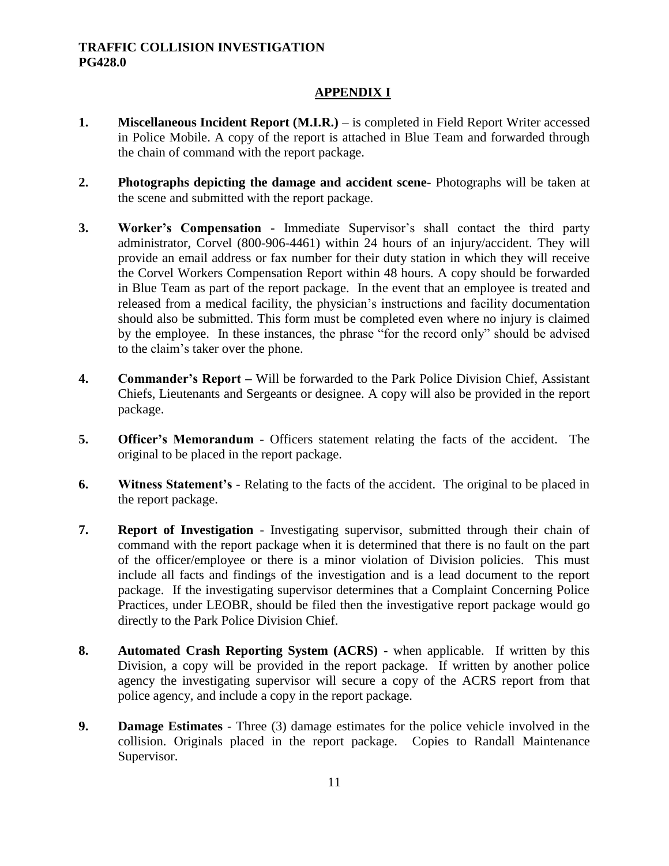## **APPENDIX I**

- **1. Miscellaneous Incident Report (M.I.R.)** is completed in Field Report Writer accessed in Police Mobile. A copy of the report is attached in Blue Team and forwarded through the chain of command with the report package.
- **2. Photographs depicting the damage and accident scene** Photographs will be taken at the scene and submitted with the report package.
- **3. Worker's Compensation -** Immediate Supervisor's shall contact the third party administrator, Corvel (800-906-4461) within 24 hours of an injury/accident. They will provide an email address or fax number for their duty station in which they will receive the Corvel Workers Compensation Report within 48 hours. A copy should be forwarded in Blue Team as part of the report package. In the event that an employee is treated and released from a medical facility, the physician's instructions and facility documentation should also be submitted. This form must be completed even where no injury is claimed by the employee. In these instances, the phrase "for the record only" should be advised to the claim's taker over the phone.
- **4. Commander's Report –** Will be forwarded to the Park Police Division Chief, Assistant Chiefs, Lieutenants and Sergeants or designee. A copy will also be provided in the report package.
- **5. Officer's Memorandum** Officers statement relating the facts of the accident. The original to be placed in the report package.
- **6. Witness Statement's**  Relating to the facts of the accident. The original to be placed in the report package.
- **7. Report of Investigation** Investigating supervisor, submitted through their chain of command with the report package when it is determined that there is no fault on the part of the officer/employee or there is a minor violation of Division policies. This must include all facts and findings of the investigation and is a lead document to the report package. If the investigating supervisor determines that a Complaint Concerning Police Practices, under LEOBR, should be filed then the investigative report package would go directly to the Park Police Division Chief.
- **8. Automated Crash Reporting System (ACRS)** when applicable. If written by this Division, a copy will be provided in the report package. If written by another police agency the investigating supervisor will secure a copy of the ACRS report from that police agency, and include a copy in the report package.
- **9. Damage Estimates**  Three (3) damage estimates for the police vehicle involved in the collision. Originals placed in the report package. Copies to Randall Maintenance Supervisor.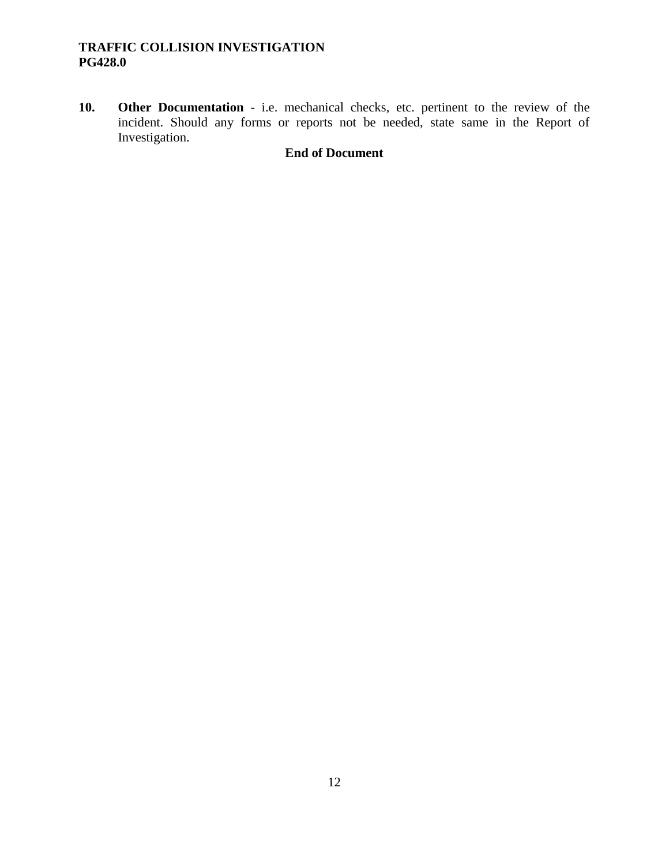**10. Other Documentation** - i.e. mechanical checks, etc. pertinent to the review of the incident. Should any forms or reports not be needed, state same in the Report of Investigation.

## **End of Document**